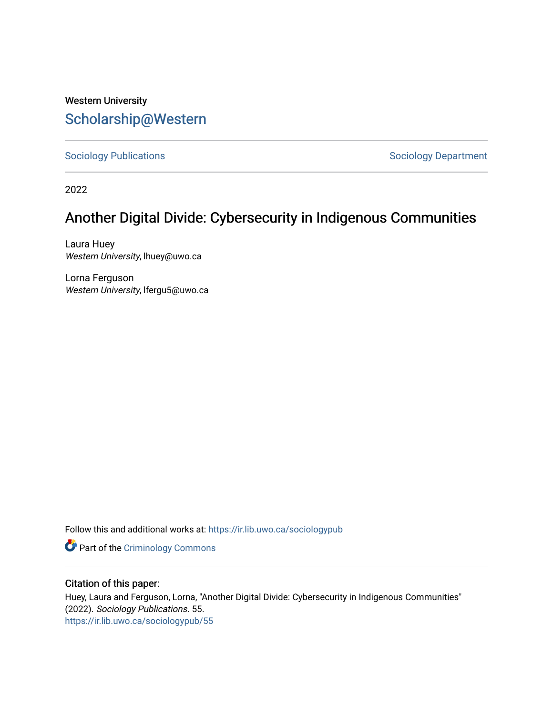## Western University [Scholarship@Western](https://ir.lib.uwo.ca/)

[Sociology Publications](https://ir.lib.uwo.ca/sociologypub) **Sociology Department** 

2022

# Another Digital Divide: Cybersecurity in Indigenous Communities

Laura Huey Western University, lhuey@uwo.ca

Lorna Ferguson Western University, lfergu5@uwo.ca

Follow this and additional works at: [https://ir.lib.uwo.ca/sociologypub](https://ir.lib.uwo.ca/sociologypub?utm_source=ir.lib.uwo.ca%2Fsociologypub%2F55&utm_medium=PDF&utm_campaign=PDFCoverPages) 

**Part of the Criminology Commons** 

## Citation of this paper:

Huey, Laura and Ferguson, Lorna, "Another Digital Divide: Cybersecurity in Indigenous Communities" (2022). Sociology Publications. 55. [https://ir.lib.uwo.ca/sociologypub/55](https://ir.lib.uwo.ca/sociologypub/55?utm_source=ir.lib.uwo.ca%2Fsociologypub%2F55&utm_medium=PDF&utm_campaign=PDFCoverPages)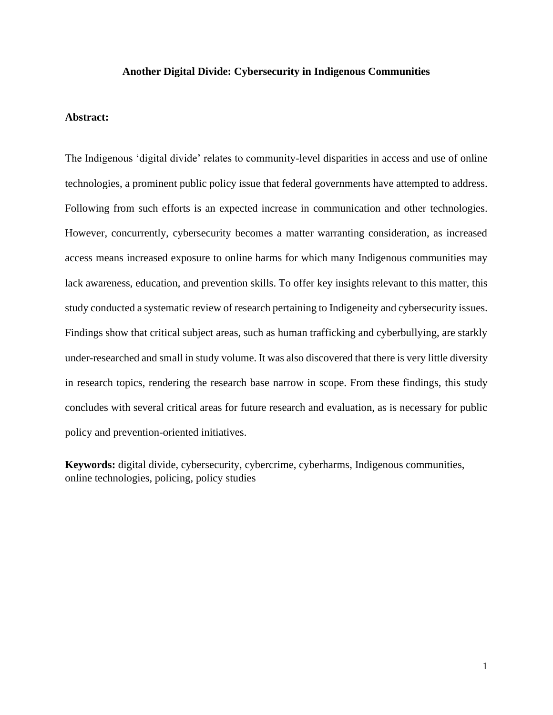#### **Another Digital Divide: Cybersecurity in Indigenous Communities**

#### **Abstract:**

The Indigenous 'digital divide' relates to community-level disparities in access and use of online technologies, a prominent public policy issue that federal governments have attempted to address. Following from such efforts is an expected increase in communication and other technologies. However, concurrently, cybersecurity becomes a matter warranting consideration, as increased access means increased exposure to online harms for which many Indigenous communities may lack awareness, education, and prevention skills. To offer key insights relevant to this matter, this study conducted a systematic review of research pertaining to Indigeneity and cybersecurity issues. Findings show that critical subject areas, such as human trafficking and cyberbullying, are starkly under-researched and small in study volume. It was also discovered that there is very little diversity in research topics, rendering the research base narrow in scope. From these findings, this study concludes with several critical areas for future research and evaluation, as is necessary for public policy and prevention-oriented initiatives.

**Keywords:** digital divide, cybersecurity, cybercrime, cyberharms, Indigenous communities, online technologies, policing, policy studies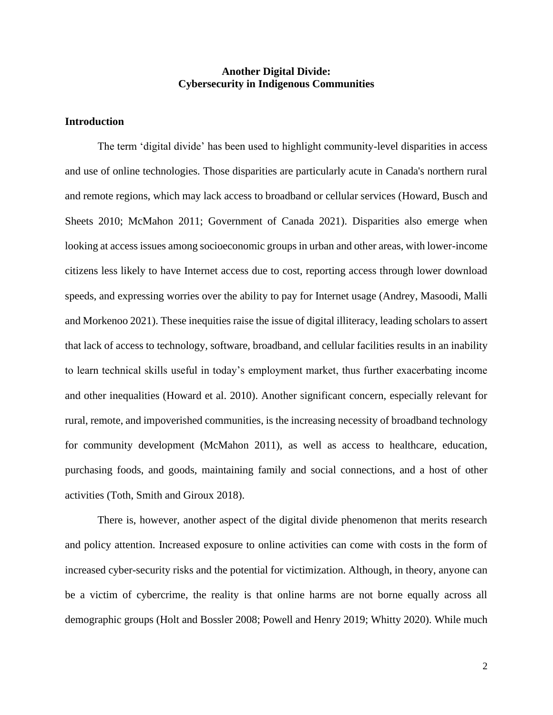## **Another Digital Divide: Cybersecurity in Indigenous Communities**

#### **Introduction**

The term 'digital divide' has been used to highlight community-level disparities in access and use of online technologies. Those disparities are particularly acute in Canada's northern rural and remote regions, which may lack access to broadband or cellular services (Howard, Busch and Sheets 2010; McMahon 2011; Government of Canada 2021). Disparities also emerge when looking at access issues among socioeconomic groups in urban and other areas, with lower-income citizens less likely to have Internet access due to cost, reporting access through lower download speeds, and expressing worries over the ability to pay for Internet usage (Andrey, Masoodi, Malli and Morkenoo 2021). These inequities raise the issue of digital illiteracy, leading scholars to assert that lack of access to technology, software, broadband, and cellular facilities results in an inability to learn technical skills useful in today's employment market, thus further exacerbating income and other inequalities (Howard et al. 2010). Another significant concern, especially relevant for rural, remote, and impoverished communities, is the increasing necessity of broadband technology for community development (McMahon 2011), as well as access to healthcare, education, purchasing foods, and goods, maintaining family and social connections, and a host of other activities (Toth, Smith and Giroux 2018).

There is, however, another aspect of the digital divide phenomenon that merits research and policy attention. Increased exposure to online activities can come with costs in the form of increased cyber-security risks and the potential for victimization. Although, in theory, anyone can be a victim of cybercrime, the reality is that online harms are not borne equally across all demographic groups (Holt and Bossler 2008; Powell and Henry 2019; Whitty 2020). While much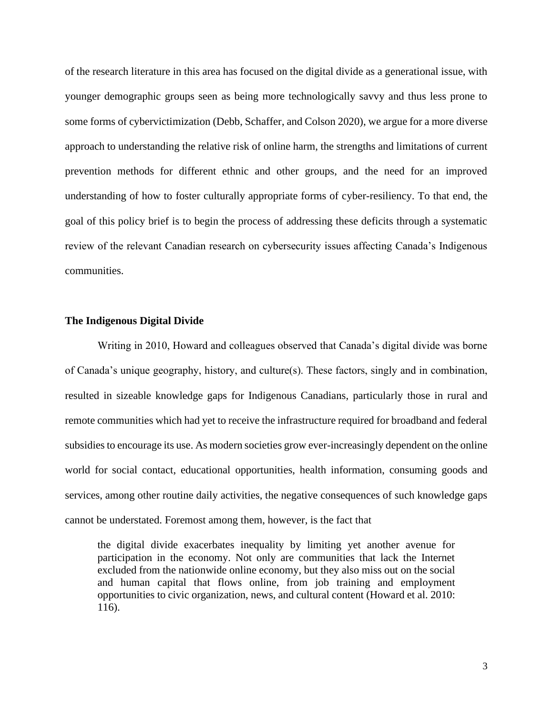of the research literature in this area has focused on the digital divide as a generational issue, with younger demographic groups seen as being more technologically savvy and thus less prone to some forms of cybervictimization (Debb, Schaffer, and Colson 2020), we argue for a more diverse approach to understanding the relative risk of online harm, the strengths and limitations of current prevention methods for different ethnic and other groups, and the need for an improved understanding of how to foster culturally appropriate forms of cyber-resiliency. To that end, the goal of this policy brief is to begin the process of addressing these deficits through a systematic review of the relevant Canadian research on cybersecurity issues affecting Canada's Indigenous communities.

#### **The Indigenous Digital Divide**

Writing in 2010, Howard and colleagues observed that Canada's digital divide was borne of Canada's unique geography, history, and culture(s). These factors, singly and in combination, resulted in sizeable knowledge gaps for Indigenous Canadians, particularly those in rural and remote communities which had yet to receive the infrastructure required for broadband and federal subsidies to encourage its use. As modern societies grow ever-increasingly dependent on the online world for social contact, educational opportunities, health information, consuming goods and services, among other routine daily activities, the negative consequences of such knowledge gaps cannot be understated. Foremost among them, however, is the fact that

the digital divide exacerbates inequality by limiting yet another avenue for participation in the economy. Not only are communities that lack the Internet excluded from the nationwide online economy, but they also miss out on the social and human capital that flows online, from job training and employment opportunities to civic organization, news, and cultural content (Howard et al. 2010: 116).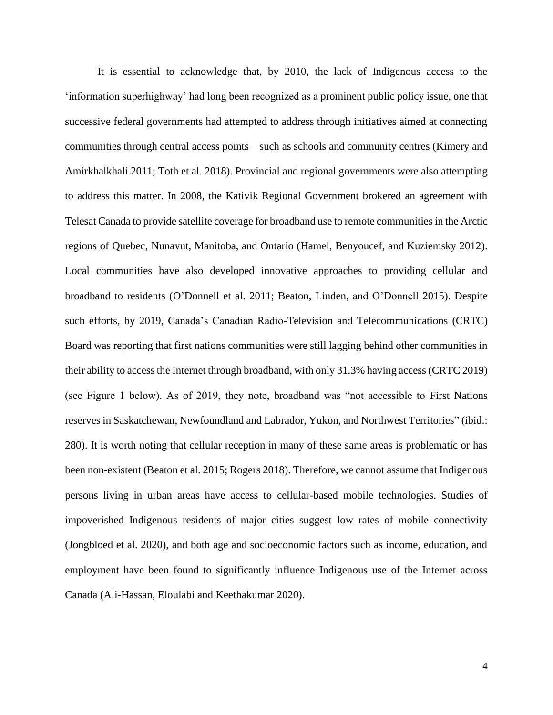It is essential to acknowledge that, by 2010, the lack of Indigenous access to the 'information superhighway' had long been recognized as a prominent public policy issue, one that successive federal governments had attempted to address through initiatives aimed at connecting communities through central access points – such as schools and community centres (Kimery and Amirkhalkhali 2011; Toth et al. 2018). Provincial and regional governments were also attempting to address this matter. In 2008, the Kativik Regional Government brokered an agreement with Telesat Canada to provide satellite coverage for broadband use to remote communities in the Arctic regions of Quebec, Nunavut, Manitoba, and Ontario (Hamel, Benyoucef, and Kuziemsky 2012). Local communities have also developed innovative approaches to providing cellular and broadband to residents (O'Donnell et al. 2011; Beaton, Linden, and O'Donnell 2015). Despite such efforts, by 2019, Canada's Canadian Radio-Television and Telecommunications (CRTC) Board was reporting that first nations communities were still lagging behind other communities in their ability to access the Internet through broadband, with only 31.3% having access (CRTC 2019) (see Figure 1 below). As of 2019, they note, broadband was "not accessible to First Nations reserves in Saskatchewan, Newfoundland and Labrador, Yukon, and Northwest Territories" (ibid.: 280). It is worth noting that cellular reception in many of these same areas is problematic or has been non-existent (Beaton et al. 2015; Rogers 2018). Therefore, we cannot assume that Indigenous persons living in urban areas have access to cellular-based mobile technologies. Studies of impoverished Indigenous residents of major cities suggest low rates of mobile connectivity (Jongbloed et al. 2020), and both age and socioeconomic factors such as income, education, and employment have been found to significantly influence Indigenous use of the Internet across Canada (Ali-Hassan, Eloulabi and Keethakumar 2020).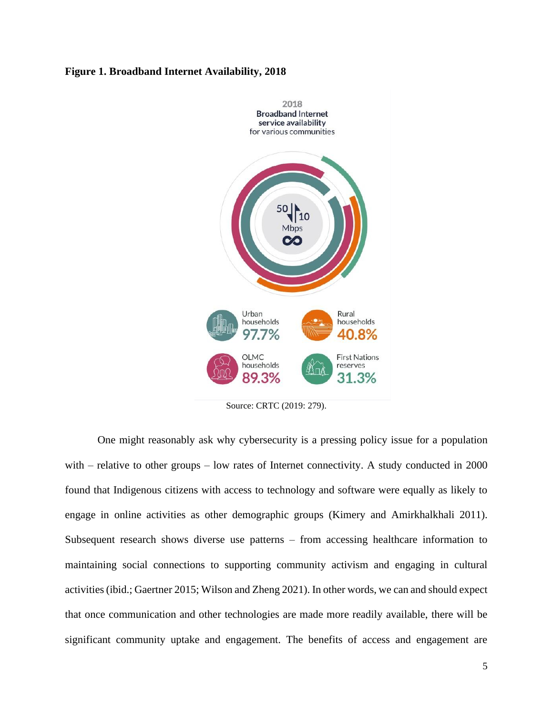#### **Figure 1. Broadband Internet Availability, 2018**



Source: CRTC (2019: 279).

One might reasonably ask why cybersecurity is a pressing policy issue for a population with – relative to other groups – low rates of Internet connectivity. A study conducted in 2000 found that Indigenous citizens with access to technology and software were equally as likely to engage in online activities as other demographic groups (Kimery and Amirkhalkhali 2011). Subsequent research shows diverse use patterns – from accessing healthcare information to maintaining social connections to supporting community activism and engaging in cultural activities (ibid.; Gaertner 2015; Wilson and Zheng 2021). In other words, we can and should expect that once communication and other technologies are made more readily available, there will be significant community uptake and engagement. The benefits of access and engagement are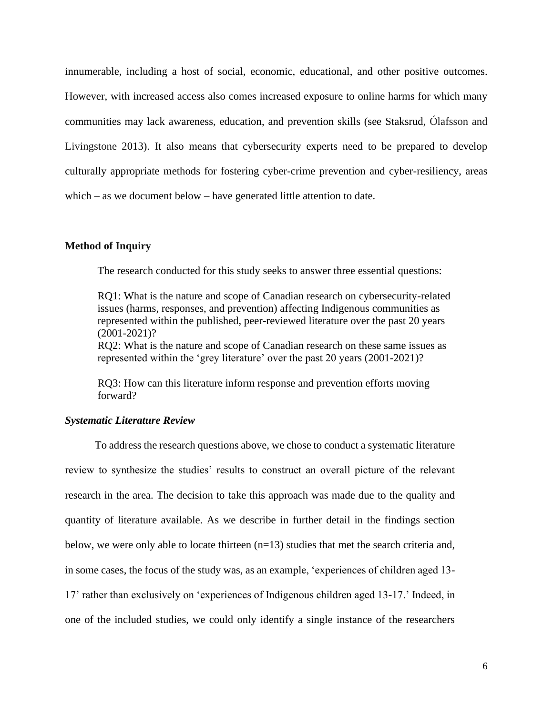innumerable, including a host of social, economic, educational, and other positive outcomes. However, with increased access also comes increased exposure to online harms for which many communities may lack awareness, education, and prevention skills (see Staksrud, Ólafsson and Livingstone 2013). It also means that cybersecurity experts need to be prepared to develop culturally appropriate methods for fostering cyber-crime prevention and cyber-resiliency, areas which – as we document below – have generated little attention to date.

#### **Method of Inquiry**

The research conducted for this study seeks to answer three essential questions:

RQ1: What is the nature and scope of Canadian research on cybersecurity-related issues (harms, responses, and prevention) affecting Indigenous communities as represented within the published, peer-reviewed literature over the past 20 years (2001-2021)?

RQ2: What is the nature and scope of Canadian research on these same issues as represented within the 'grey literature' over the past 20 years (2001-2021)?

RQ3: How can this literature inform response and prevention efforts moving forward?

#### *Systematic Literature Review*

 To address the research questions above, we chose to conduct a systematic literature review to synthesize the studies' results to construct an overall picture of the relevant research in the area. The decision to take this approach was made due to the quality and quantity of literature available. As we describe in further detail in the findings section below, we were only able to locate thirteen  $(n=13)$  studies that met the search criteria and, in some cases, the focus of the study was, as an example, 'experiences of children aged 13- 17' rather than exclusively on 'experiences of Indigenous children aged 13-17.' Indeed, in one of the included studies, we could only identify a single instance of the researchers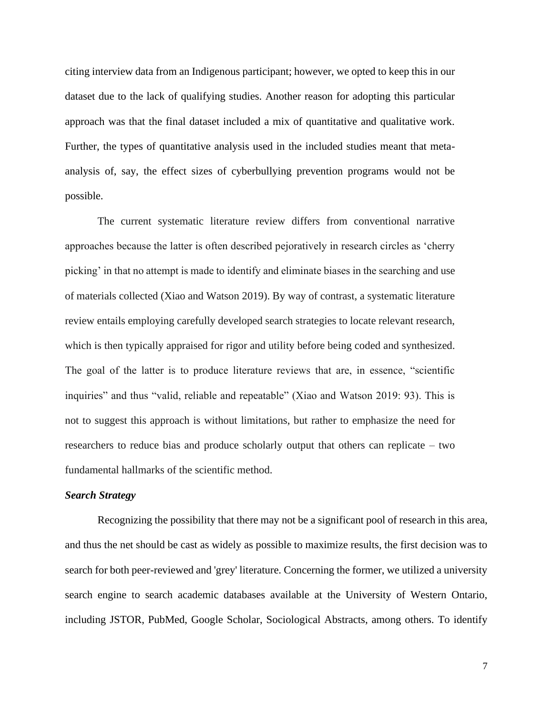citing interview data from an Indigenous participant; however, we opted to keep this in our dataset due to the lack of qualifying studies. Another reason for adopting this particular approach was that the final dataset included a mix of quantitative and qualitative work. Further, the types of quantitative analysis used in the included studies meant that metaanalysis of, say, the effect sizes of cyberbullying prevention programs would not be possible.

The current systematic literature review differs from conventional narrative approaches because the latter is often described pejoratively in research circles as 'cherry picking' in that no attempt is made to identify and eliminate biases in the searching and use of materials collected (Xiao and Watson 2019). By way of contrast, a systematic literature review entails employing carefully developed search strategies to locate relevant research, which is then typically appraised for rigor and utility before being coded and synthesized. The goal of the latter is to produce literature reviews that are, in essence, "scientific inquiries" and thus "valid, reliable and repeatable" (Xiao and Watson 2019: 93). This is not to suggest this approach is without limitations, but rather to emphasize the need for researchers to reduce bias and produce scholarly output that others can replicate – two fundamental hallmarks of the scientific method.

#### *Search Strategy*

Recognizing the possibility that there may not be a significant pool of research in this area, and thus the net should be cast as widely as possible to maximize results, the first decision was to search for both peer-reviewed and 'grey' literature. Concerning the former, we utilized a university search engine to search academic databases available at the University of Western Ontario, including JSTOR, PubMed, Google Scholar, Sociological Abstracts, among others. To identify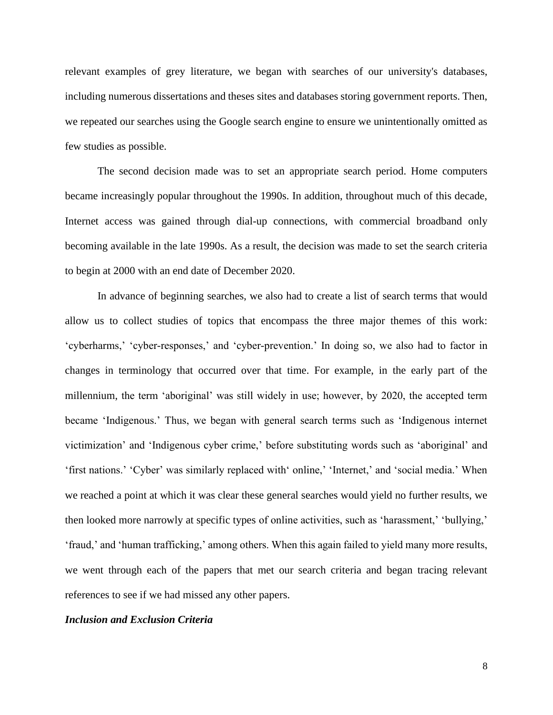relevant examples of grey literature, we began with searches of our university's databases, including numerous dissertations and theses sites and databases storing government reports. Then, we repeated our searches using the Google search engine to ensure we unintentionally omitted as few studies as possible.

The second decision made was to set an appropriate search period. Home computers became increasingly popular throughout the 1990s. In addition, throughout much of this decade, Internet access was gained through dial-up connections, with commercial broadband only becoming available in the late 1990s. As a result, the decision was made to set the search criteria to begin at 2000 with an end date of December 2020.

In advance of beginning searches, we also had to create a list of search terms that would allow us to collect studies of topics that encompass the three major themes of this work: 'cyberharms,' 'cyber-responses,' and 'cyber-prevention.' In doing so, we also had to factor in changes in terminology that occurred over that time. For example, in the early part of the millennium, the term 'aboriginal' was still widely in use; however, by 2020, the accepted term became 'Indigenous.' Thus, we began with general search terms such as 'Indigenous internet victimization' and 'Indigenous cyber crime,' before substituting words such as 'aboriginal' and 'first nations.' 'Cyber' was similarly replaced with' online,' 'Internet,' and 'social media.' When we reached a point at which it was clear these general searches would yield no further results, we then looked more narrowly at specific types of online activities, such as 'harassment,' 'bullying,' 'fraud,' and 'human trafficking,' among others. When this again failed to yield many more results, we went through each of the papers that met our search criteria and began tracing relevant references to see if we had missed any other papers.

## *Inclusion and Exclusion Criteria*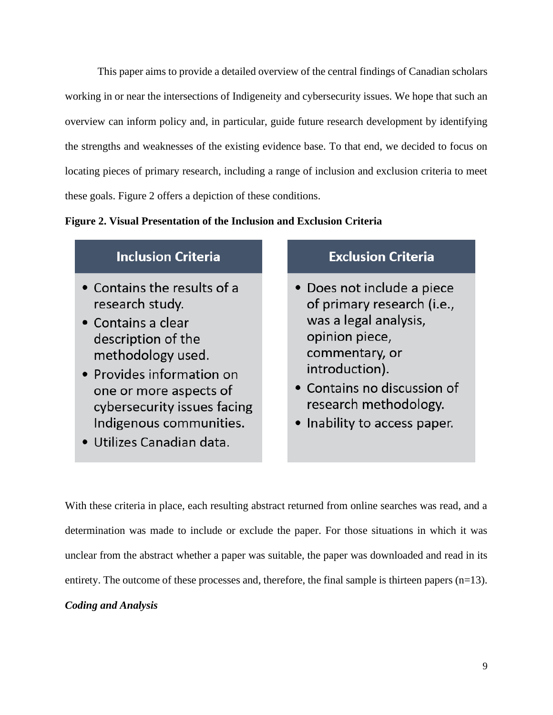This paper aims to provide a detailed overview of the central findings of Canadian scholars working in or near the intersections of Indigeneity and cybersecurity issues. We hope that such an overview can inform policy and, in particular, guide future research development by identifying the strengths and weaknesses of the existing evidence base. To that end, we decided to focus on locating pieces of primary research, including a range of inclusion and exclusion criteria to meet these goals. Figure 2 offers a depiction of these conditions.

## **Figure 2. Visual Presentation of the Inclusion and Exclusion Criteria**

## **Inclusion Criteria**

- Contains the results of a research study.
- Contains a clear description of the methodology used.
- Provides information on one or more aspects of cybersecurity issues facing Indigenous communities.
- · Utilizes Canadian data.

## **Exclusion Criteria**

- Does not include a piece of primary research (i.e., was a legal analysis, opinion piece, commentary, or introduction).
- Contains no discussion of research methodology.
- Inability to access paper.

With these criteria in place, each resulting abstract returned from online searches was read, and a determination was made to include or exclude the paper. For those situations in which it was unclear from the abstract whether a paper was suitable, the paper was downloaded and read in its entirety. The outcome of these processes and, therefore, the final sample is thirteen papers  $(n=13)$ .

## *Coding and Analysis*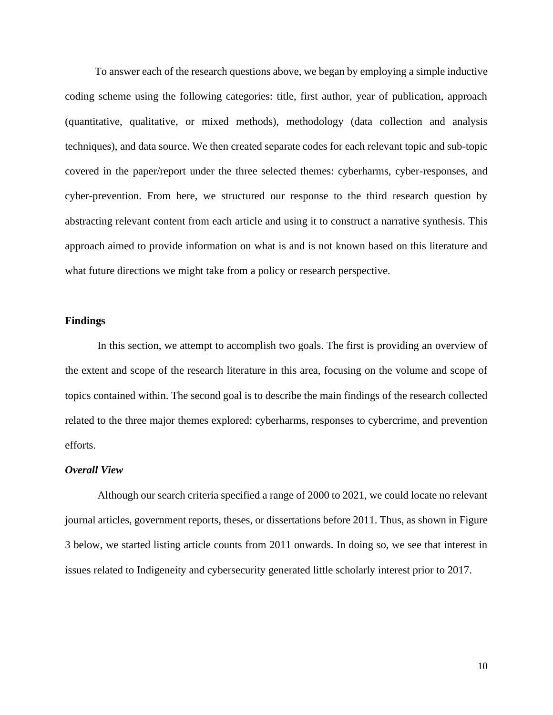To answer each of the research questions above, we began by employing a simple inductive coding scheme using the following categories: title, first author, year of publication, approach (quantitative, qualitative, or mixed methods), methodology (data collection and analysis techniques), and data source. We then created separate codes for each relevant topic and sub-topic covered in the paper/report under the three selected themes: cyberharms, cyber-responses, and cyber-prevention. From here, we structured our response to the third research question by abstracting relevant content from each article and using it to construct a narrative synthesis. This approach aimed to provide information on what is and is not known based on this literature and what future directions we might take from a policy or research perspective.

#### **Findings**

In this section, we attempt to accomplish two goals. The first is providing an overview of the extent and scope of the research literature in this area, focusing on the volume and scope of topics contained within. The second goal is to describe the main findings of the research collected related to the three major themes explored: cyberharms, responses to cybercrime, and prevention efforts.

#### *Overall View*

Although our search criteria specified a range of 2000 to 2021, we could locate no relevant journal articles, government reports, theses, or dissertations before 2011. Thus, as shown in Figure 3 below, we started listing article counts from 2011 onwards. In doing so, we see that interest in issues related to Indigeneity and cybersecurity generated little scholarly interest prior to 2017.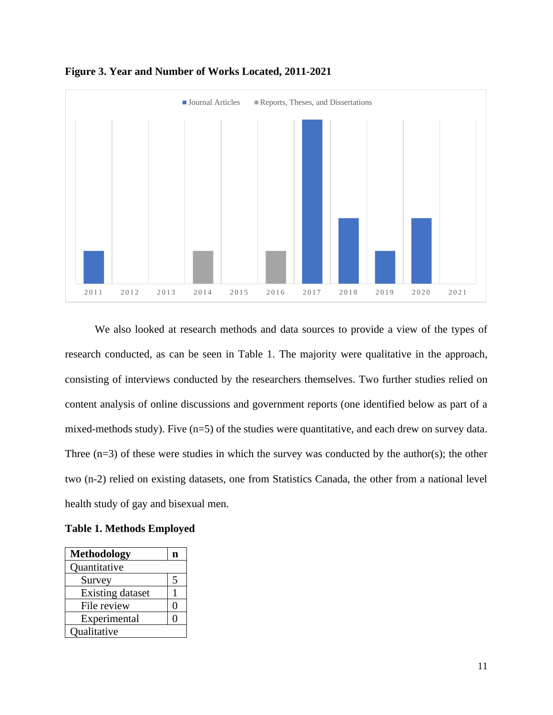

**Figure 3. Year and Number of Works Located, 2011-2021**

 We also looked at research methods and data sources to provide a view of the types of research conducted, as can be seen in Table 1. The majority were qualitative in the approach, consisting of interviews conducted by the researchers themselves. Two further studies relied on content analysis of online discussions and government reports (one identified below as part of a mixed-methods study). Five (n=5) of the studies were quantitative, and each drew on survey data. Three  $(n=3)$  of these were studies in which the survey was conducted by the author(s); the other two (n-2) relied on existing datasets, one from Statistics Canada, the other from a national level health study of gay and bisexual men.

|  |  | <b>Table 1. Methods Employed</b> |  |  |
|--|--|----------------------------------|--|--|
|--|--|----------------------------------|--|--|

| <b>Methodology</b>      | n |  |
|-------------------------|---|--|
| Quantitative            |   |  |
| Survey                  | 5 |  |
| <b>Existing dataset</b> |   |  |
| File review             | U |  |
| Experimental            |   |  |
| Qualitative             |   |  |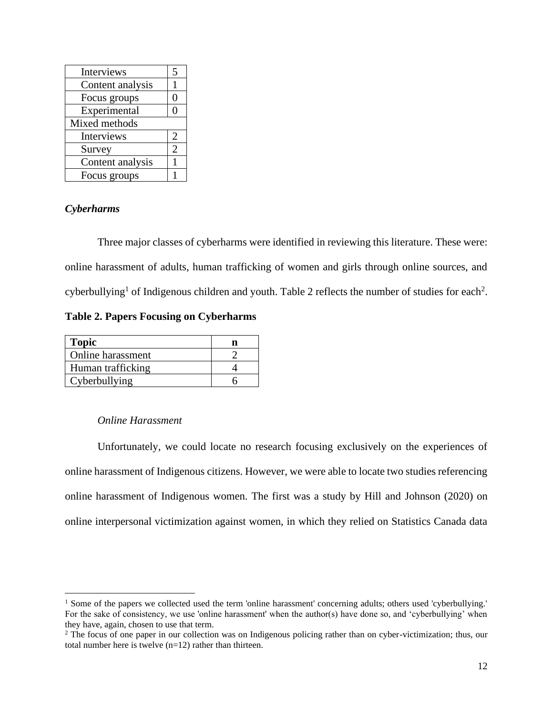| Interviews       | 5              |  |  |
|------------------|----------------|--|--|
| Content analysis | 1              |  |  |
| Focus groups     | 0              |  |  |
| Experimental     | 0              |  |  |
| Mixed methods    |                |  |  |
| Interviews       | $\overline{2}$ |  |  |
| Survey           | $\overline{2}$ |  |  |
| Content analysis | 1              |  |  |
| Focus groups     |                |  |  |

## *Cyberharms*

Three major classes of cyberharms were identified in reviewing this literature. These were: online harassment of adults, human trafficking of women and girls through online sources, and cyberbullying<sup>1</sup> of Indigenous children and youth. Table 2 reflects the number of studies for each<sup>2</sup>.

**Table 2. Papers Focusing on Cyberharms**

| <b>Topic</b>      |  |
|-------------------|--|
| Online harassment |  |
| Human trafficking |  |
| Cyberbullying     |  |

#### *Online Harassment*

Unfortunately, we could locate no research focusing exclusively on the experiences of online harassment of Indigenous citizens. However, we were able to locate two studies referencing online harassment of Indigenous women. The first was a study by Hill and Johnson (2020) on online interpersonal victimization against women, in which they relied on Statistics Canada data

<sup>&</sup>lt;sup>1</sup> Some of the papers we collected used the term 'online harassment' concerning adults; others used 'cyberbullying.' For the sake of consistency, we use 'online harassment' when the author(s) have done so, and 'cyberbullying' when they have, again, chosen to use that term.

<sup>&</sup>lt;sup>2</sup> The focus of one paper in our collection was on Indigenous policing rather than on cyber-victimization; thus, our total number here is twelve (n=12) rather than thirteen.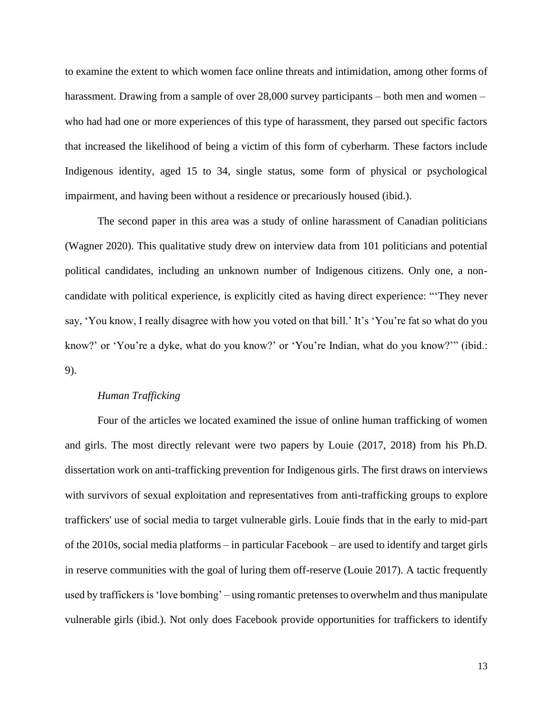to examine the extent to which women face online threats and intimidation, among other forms of harassment. Drawing from a sample of over 28,000 survey participants – both men and women – who had had one or more experiences of this type of harassment, they parsed out specific factors that increased the likelihood of being a victim of this form of cyberharm. These factors include Indigenous identity, aged 15 to 34, single status, some form of physical or psychological impairment, and having been without a residence or precariously housed (ibid.).

The second paper in this area was a study of online harassment of Canadian politicians (Wagner 2020). This qualitative study drew on interview data from 101 politicians and potential political candidates, including an unknown number of Indigenous citizens. Only one, a noncandidate with political experience, is explicitly cited as having direct experience: "'They never say, 'You know, I really disagree with how you voted on that bill.' It's 'You're fat so what do you know?' or 'You're a dyke, what do you know?' or 'You're Indian, what do you know?'" (ibid.: 9).

#### *Human Trafficking*

Four of the articles we located examined the issue of online human trafficking of women and girls. The most directly relevant were two papers by Louie (2017, 2018) from his Ph.D. dissertation work on anti-trafficking prevention for Indigenous girls. The first draws on interviews with survivors of sexual exploitation and representatives from anti-trafficking groups to explore traffickers' use of social media to target vulnerable girls. Louie finds that in the early to mid-part of the 2010s, social media platforms – in particular Facebook – are used to identify and target girls in reserve communities with the goal of luring them off-reserve (Louie 2017). A tactic frequently used by traffickers is 'love bombing' – using romantic pretenses to overwhelm and thus manipulate vulnerable girls (ibid.). Not only does Facebook provide opportunities for traffickers to identify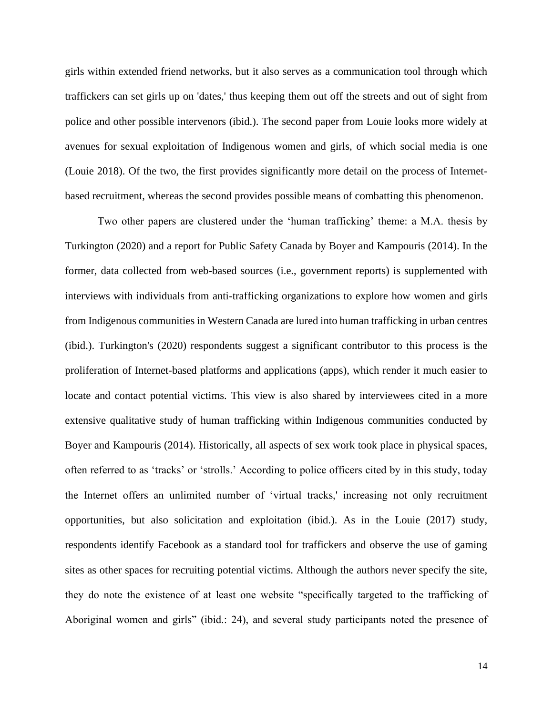girls within extended friend networks, but it also serves as a communication tool through which traffickers can set girls up on 'dates,' thus keeping them out off the streets and out of sight from police and other possible intervenors (ibid.). The second paper from Louie looks more widely at avenues for sexual exploitation of Indigenous women and girls, of which social media is one (Louie 2018). Of the two, the first provides significantly more detail on the process of Internetbased recruitment, whereas the second provides possible means of combatting this phenomenon.

Two other papers are clustered under the 'human trafficking' theme: a M.A. thesis by Turkington (2020) and a report for Public Safety Canada by Boyer and Kampouris (2014). In the former, data collected from web-based sources (i.e., government reports) is supplemented with interviews with individuals from anti-trafficking organizations to explore how women and girls from Indigenous communities in Western Canada are lured into human trafficking in urban centres (ibid.). Turkington's (2020) respondents suggest a significant contributor to this process is the proliferation of Internet-based platforms and applications (apps), which render it much easier to locate and contact potential victims. This view is also shared by interviewees cited in a more extensive qualitative study of human trafficking within Indigenous communities conducted by Boyer and Kampouris (2014). Historically, all aspects of sex work took place in physical spaces, often referred to as 'tracks' or 'strolls.' According to police officers cited by in this study, today the Internet offers an unlimited number of 'virtual tracks,' increasing not only recruitment opportunities, but also solicitation and exploitation (ibid.). As in the Louie (2017) study, respondents identify Facebook as a standard tool for traffickers and observe the use of gaming sites as other spaces for recruiting potential victims. Although the authors never specify the site, they do note the existence of at least one website "specifically targeted to the trafficking of Aboriginal women and girls" (ibid.: 24), and several study participants noted the presence of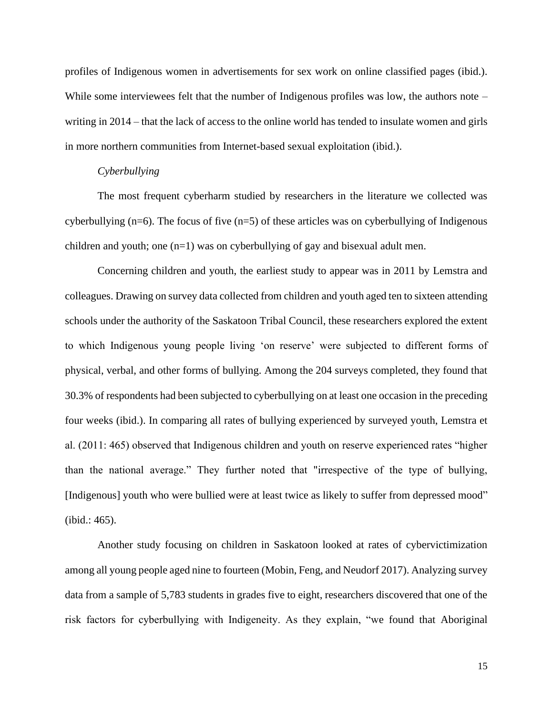profiles of Indigenous women in advertisements for sex work on online classified pages (ibid.). While some interviewees felt that the number of Indigenous profiles was low, the authors note – writing in 2014 – that the lack of access to the online world has tended to insulate women and girls in more northern communities from Internet-based sexual exploitation (ibid.).

#### *Cyberbullying*

The most frequent cyberharm studied by researchers in the literature we collected was cyberbullying  $(n=6)$ . The focus of five  $(n=5)$  of these articles was on cyberbullying of Indigenous children and youth; one  $(n=1)$  was on cyberbullying of gay and bisexual adult men.

Concerning children and youth, the earliest study to appear was in 2011 by Lemstra and colleagues. Drawing on survey data collected from children and youth aged ten to sixteen attending schools under the authority of the Saskatoon Tribal Council, these researchers explored the extent to which Indigenous young people living 'on reserve' were subjected to different forms of physical, verbal, and other forms of bullying. Among the 204 surveys completed, they found that 30.3% of respondents had been subjected to cyberbullying on at least one occasion in the preceding four weeks (ibid.). In comparing all rates of bullying experienced by surveyed youth, Lemstra et al. (2011: 465) observed that Indigenous children and youth on reserve experienced rates "higher than the national average." They further noted that "irrespective of the type of bullying, [Indigenous] youth who were bullied were at least twice as likely to suffer from depressed mood" (ibid.: 465).

Another study focusing on children in Saskatoon looked at rates of cybervictimization among all young people aged nine to fourteen (Mobin, Feng, and Neudorf 2017). Analyzing survey data from a sample of 5,783 students in grades five to eight, researchers discovered that one of the risk factors for cyberbullying with Indigeneity. As they explain, "we found that Aboriginal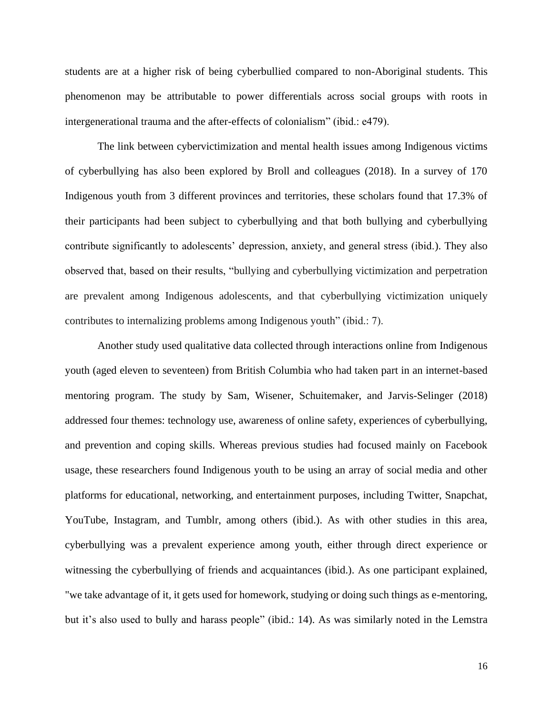students are at a higher risk of being cyberbullied compared to non-Aboriginal students. This phenomenon may be attributable to power differentials across social groups with roots in intergenerational trauma and the after-effects of colonialism" (ibid.: e479).

The link between cybervictimization and mental health issues among Indigenous victims of cyberbullying has also been explored by Broll and colleagues (2018). In a survey of 170 Indigenous youth from 3 different provinces and territories, these scholars found that 17.3% of their participants had been subject to cyberbullying and that both bullying and cyberbullying contribute significantly to adolescents' depression, anxiety, and general stress (ibid.). They also observed that, based on their results, "bullying and cyberbullying victimization and perpetration are prevalent among Indigenous adolescents, and that cyberbullying victimization uniquely contributes to internalizing problems among Indigenous youth" (ibid.: 7).

Another study used qualitative data collected through interactions online from Indigenous youth (aged eleven to seventeen) from British Columbia who had taken part in an internet-based mentoring program. The study by Sam, Wisener, Schuitemaker, and Jarvis-Selinger (2018) addressed four themes: technology use, awareness of online safety, experiences of cyberbullying, and prevention and coping skills. Whereas previous studies had focused mainly on Facebook usage, these researchers found Indigenous youth to be using an array of social media and other platforms for educational, networking, and entertainment purposes, including Twitter, Snapchat, YouTube, Instagram, and Tumblr, among others (ibid.). As with other studies in this area, cyberbullying was a prevalent experience among youth, either through direct experience or witnessing the cyberbullying of friends and acquaintances (ibid.). As one participant explained, "we take advantage of it, it gets used for homework, studying or doing such things as e-mentoring, but it's also used to bully and harass people" (ibid.: 14). As was similarly noted in the Lemstra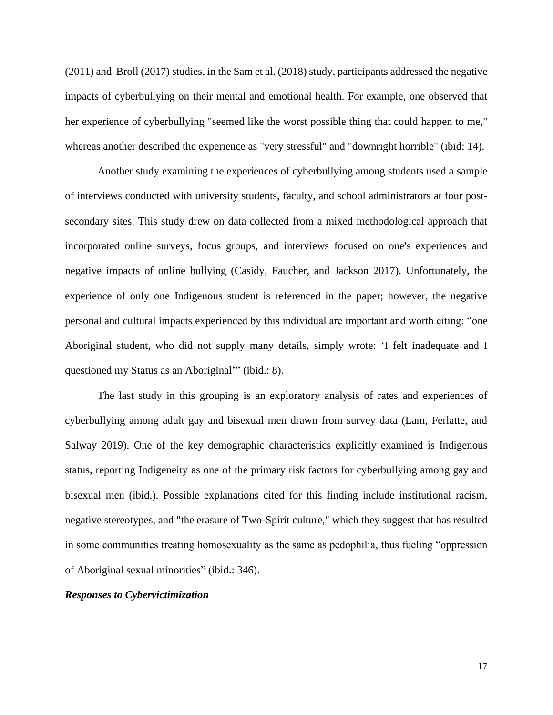(2011) and Broll (2017) studies, in the Sam et al. (2018) study, participants addressed the negative impacts of cyberbullying on their mental and emotional health. For example, one observed that her experience of cyberbullying "seemed like the worst possible thing that could happen to me," whereas another described the experience as "very stressful" and "downright horrible" (ibid: 14).

Another study examining the experiences of cyberbullying among students used a sample of interviews conducted with university students, faculty, and school administrators at four postsecondary sites. This study drew on data collected from a mixed methodological approach that incorporated online surveys, focus groups, and interviews focused on one's experiences and negative impacts of online bullying (Casidy, Faucher, and Jackson 2017). Unfortunately, the experience of only one Indigenous student is referenced in the paper; however, the negative personal and cultural impacts experienced by this individual are important and worth citing: "one Aboriginal student, who did not supply many details, simply wrote: 'I felt inadequate and I questioned my Status as an Aboriginal'" (ibid.: 8).

The last study in this grouping is an exploratory analysis of rates and experiences of cyberbullying among adult gay and bisexual men drawn from survey data (Lam, Ferlatte, and Salway 2019). One of the key demographic characteristics explicitly examined is Indigenous status, reporting Indigeneity as one of the primary risk factors for cyberbullying among gay and bisexual men (ibid.). Possible explanations cited for this finding include institutional racism, negative stereotypes, and "the erasure of Two-Spirit culture," which they suggest that has resulted in some communities treating homosexuality as the same as pedophilia, thus fueling "oppression of Aboriginal sexual minorities" (ibid.: 346).

#### *Responses to Cybervictimization*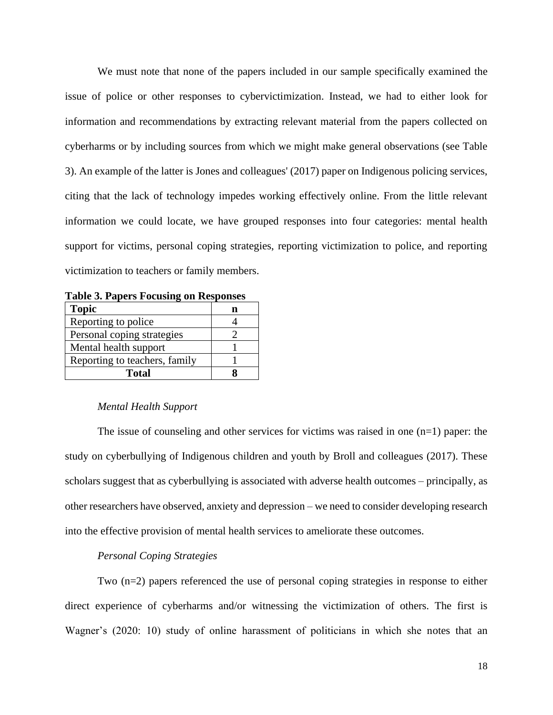We must note that none of the papers included in our sample specifically examined the issue of police or other responses to cybervictimization. Instead, we had to either look for information and recommendations by extracting relevant material from the papers collected on cyberharms or by including sources from which we might make general observations (see Table 3). An example of the latter is Jones and colleagues' (2017) paper on Indigenous policing services, citing that the lack of technology impedes working effectively online. From the little relevant information we could locate, we have grouped responses into four categories: mental health support for victims, personal coping strategies, reporting victimization to police, and reporting victimization to teachers or family members.

**Table 3. Papers Focusing on Responses**

| <b>Topic</b>                  |  |
|-------------------------------|--|
| Reporting to police           |  |
| Personal coping strategies    |  |
| Mental health support         |  |
| Reporting to teachers, family |  |
| Total                         |  |

## *Mental Health Support*

The issue of counseling and other services for victims was raised in one  $(n=1)$  paper: the study on cyberbullying of Indigenous children and youth by Broll and colleagues (2017). These scholars suggest that as cyberbullying is associated with adverse health outcomes – principally, as other researchers have observed, anxiety and depression – we need to consider developing research into the effective provision of mental health services to ameliorate these outcomes.

## *Personal Coping Strategies*

Two (n=2) papers referenced the use of personal coping strategies in response to either direct experience of cyberharms and/or witnessing the victimization of others. The first is Wagner's (2020: 10) study of online harassment of politicians in which she notes that an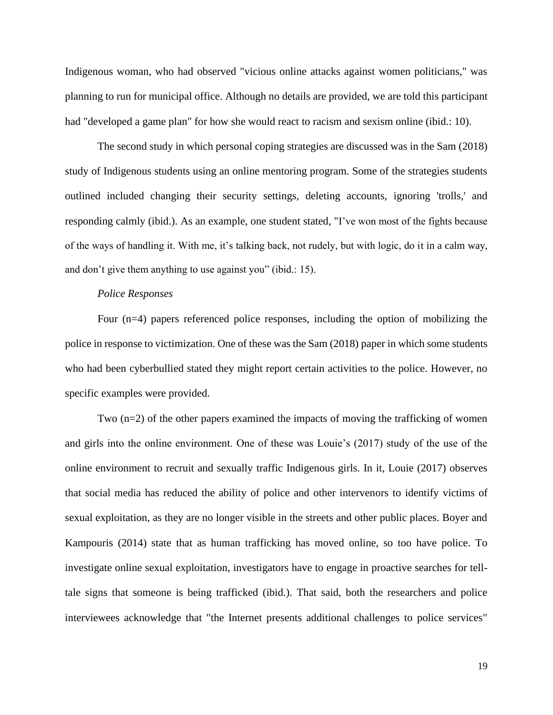Indigenous woman, who had observed "vicious online attacks against women politicians," was planning to run for municipal office. Although no details are provided, we are told this participant had "developed a game plan" for how she would react to racism and sexism online (ibid.: 10).

The second study in which personal coping strategies are discussed was in the Sam (2018) study of Indigenous students using an online mentoring program. Some of the strategies students outlined included changing their security settings, deleting accounts, ignoring 'trolls,' and responding calmly (ibid.). As an example, one student stated, "I've won most of the fights because of the ways of handling it. With me, it's talking back, not rudely, but with logic, do it in a calm way, and don't give them anything to use against you" (ibid.: 15).

#### *Police Responses*

Four (n=4) papers referenced police responses, including the option of mobilizing the police in response to victimization. One of these was the Sam (2018) paper in which some students who had been cyberbullied stated they might report certain activities to the police. However, no specific examples were provided.

Two (n=2) of the other papers examined the impacts of moving the trafficking of women and girls into the online environment. One of these was Louie's (2017) study of the use of the online environment to recruit and sexually traffic Indigenous girls. In it, Louie (2017) observes that social media has reduced the ability of police and other intervenors to identify victims of sexual exploitation, as they are no longer visible in the streets and other public places. Boyer and Kampouris (2014) state that as human trafficking has moved online, so too have police. To investigate online sexual exploitation, investigators have to engage in proactive searches for telltale signs that someone is being trafficked (ibid.). That said, both the researchers and police interviewees acknowledge that "the Internet presents additional challenges to police services"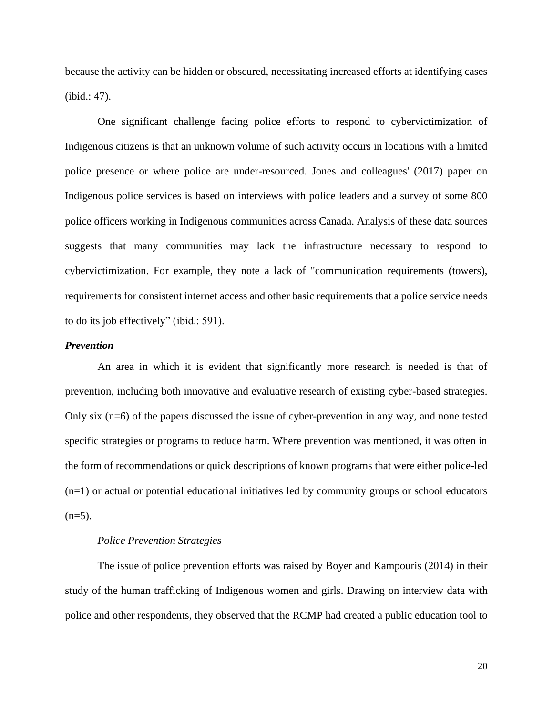because the activity can be hidden or obscured, necessitating increased efforts at identifying cases (ibid.: 47).

One significant challenge facing police efforts to respond to cybervictimization of Indigenous citizens is that an unknown volume of such activity occurs in locations with a limited police presence or where police are under-resourced. Jones and colleagues' (2017) paper on Indigenous police services is based on interviews with police leaders and a survey of some 800 police officers working in Indigenous communities across Canada. Analysis of these data sources suggests that many communities may lack the infrastructure necessary to respond to cybervictimization. For example, they note a lack of "communication requirements (towers), requirements for consistent internet access and other basic requirements that a police service needs to do its job effectively" (ibid.: 591).

#### *Prevention*

An area in which it is evident that significantly more research is needed is that of prevention, including both innovative and evaluative research of existing cyber-based strategies. Only six (n=6) of the papers discussed the issue of cyber-prevention in any way, and none tested specific strategies or programs to reduce harm. Where prevention was mentioned, it was often in the form of recommendations or quick descriptions of known programs that were either police-led (n=1) or actual or potential educational initiatives led by community groups or school educators  $(n=5)$ .

## *Police Prevention Strategies*

The issue of police prevention efforts was raised by Boyer and Kampouris (2014) in their study of the human trafficking of Indigenous women and girls. Drawing on interview data with police and other respondents, they observed that the RCMP had created a public education tool to

20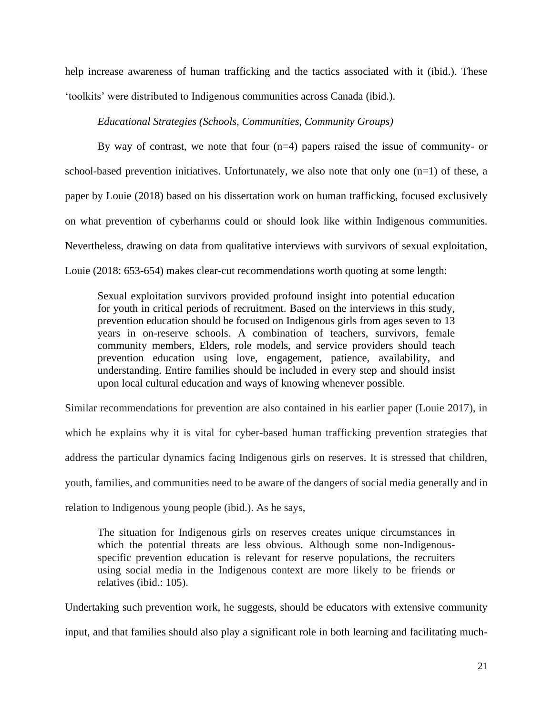help increase awareness of human trafficking and the tactics associated with it (ibid.). These 'toolkits' were distributed to Indigenous communities across Canada (ibid.).

#### *Educational Strategies (Schools, Communities, Community Groups)*

By way of contrast, we note that four  $(n=4)$  papers raised the issue of community- or school-based prevention initiatives. Unfortunately, we also note that only one  $(n=1)$  of these, a paper by Louie (2018) based on his dissertation work on human trafficking, focused exclusively on what prevention of cyberharms could or should look like within Indigenous communities. Nevertheless, drawing on data from qualitative interviews with survivors of sexual exploitation, Louie (2018: 653-654) makes clear-cut recommendations worth quoting at some length:

Sexual exploitation survivors provided profound insight into potential education for youth in critical periods of recruitment. Based on the interviews in this study, prevention education should be focused on Indigenous girls from ages seven to 13 years in on-reserve schools. A combination of teachers, survivors, female community members, Elders, role models, and service providers should teach prevention education using love, engagement, patience, availability, and understanding. Entire families should be included in every step and should insist upon local cultural education and ways of knowing whenever possible.

Similar recommendations for prevention are also contained in his earlier paper (Louie 2017), in which he explains why it is vital for cyber-based human trafficking prevention strategies that address the particular dynamics facing Indigenous girls on reserves. It is stressed that children, youth, families, and communities need to be aware of the dangers of social media generally and in relation to Indigenous young people (ibid.). As he says,

The situation for Indigenous girls on reserves creates unique circumstances in which the potential threats are less obvious. Although some non-Indigenousspecific prevention education is relevant for reserve populations, the recruiters using social media in the Indigenous context are more likely to be friends or relatives (ibid.: 105).

Undertaking such prevention work, he suggests, should be educators with extensive community input, and that families should also play a significant role in both learning and facilitating much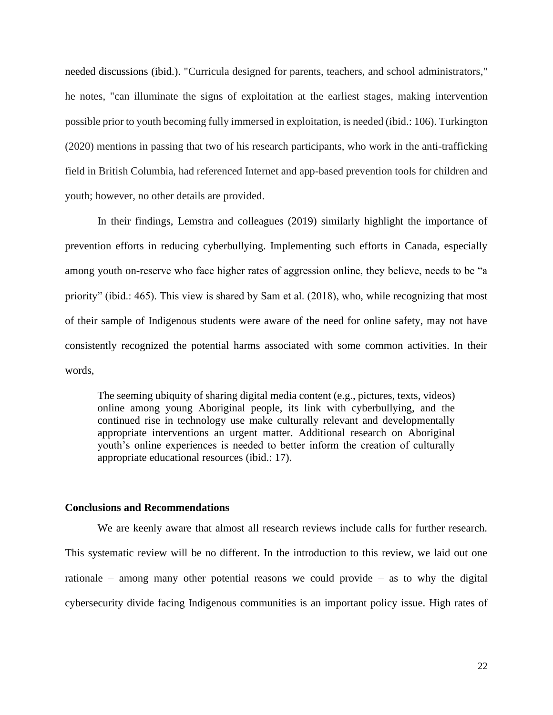needed discussions (ibid.). "Curricula designed for parents, teachers, and school administrators," he notes, "can illuminate the signs of exploitation at the earliest stages, making intervention possible prior to youth becoming fully immersed in exploitation, is needed (ibid.: 106). Turkington (2020) mentions in passing that two of his research participants, who work in the anti-trafficking field in British Columbia, had referenced Internet and app-based prevention tools for children and youth; however, no other details are provided.

In their findings, Lemstra and colleagues (2019) similarly highlight the importance of prevention efforts in reducing cyberbullying. Implementing such efforts in Canada, especially among youth on-reserve who face higher rates of aggression online, they believe, needs to be "a priority" (ibid.: 465). This view is shared by Sam et al. (2018), who, while recognizing that most of their sample of Indigenous students were aware of the need for online safety, may not have consistently recognized the potential harms associated with some common activities. In their words,

The seeming ubiquity of sharing digital media content (e.g., pictures, texts, videos) online among young Aboriginal people, its link with cyberbullying, and the continued rise in technology use make culturally relevant and developmentally appropriate interventions an urgent matter. Additional research on Aboriginal youth's online experiences is needed to better inform the creation of culturally appropriate educational resources (ibid.: 17).

#### **Conclusions and Recommendations**

We are keenly aware that almost all research reviews include calls for further research. This systematic review will be no different. In the introduction to this review, we laid out one rationale – among many other potential reasons we could provide – as to why the digital cybersecurity divide facing Indigenous communities is an important policy issue. High rates of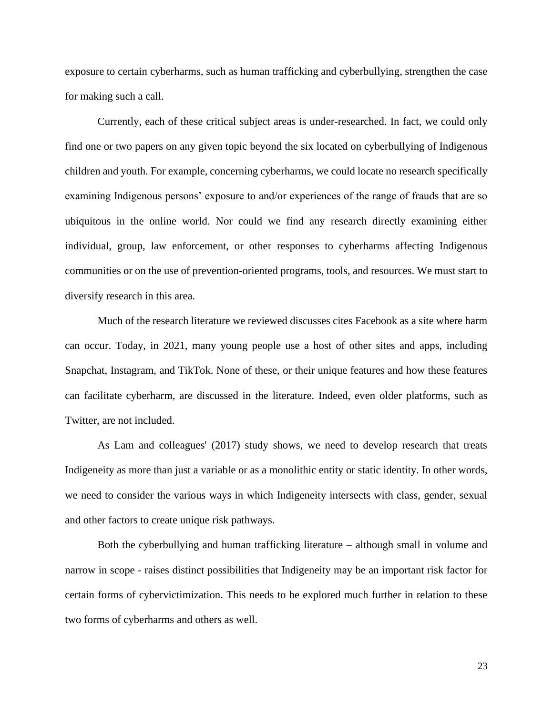exposure to certain cyberharms, such as human trafficking and cyberbullying, strengthen the case for making such a call.

Currently, each of these critical subject areas is under-researched. In fact, we could only find one or two papers on any given topic beyond the six located on cyberbullying of Indigenous children and youth. For example, concerning cyberharms, we could locate no research specifically examining Indigenous persons' exposure to and/or experiences of the range of frauds that are so ubiquitous in the online world. Nor could we find any research directly examining either individual, group, law enforcement, or other responses to cyberharms affecting Indigenous communities or on the use of prevention-oriented programs, tools, and resources. We must start to diversify research in this area.

Much of the research literature we reviewed discusses cites Facebook as a site where harm can occur. Today, in 2021, many young people use a host of other sites and apps, including Snapchat, Instagram, and TikTok. None of these, or their unique features and how these features can facilitate cyberharm, are discussed in the literature. Indeed, even older platforms, such as Twitter, are not included.

As Lam and colleagues' (2017) study shows, we need to develop research that treats Indigeneity as more than just a variable or as a monolithic entity or static identity. In other words, we need to consider the various ways in which Indigeneity intersects with class, gender, sexual and other factors to create unique risk pathways.

Both the cyberbullying and human trafficking literature – although small in volume and narrow in scope - raises distinct possibilities that Indigeneity may be an important risk factor for certain forms of cybervictimization. This needs to be explored much further in relation to these two forms of cyberharms and others as well.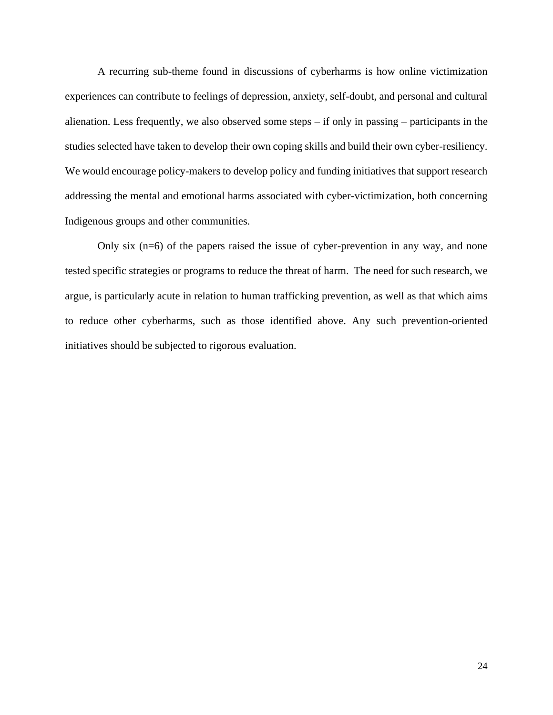A recurring sub-theme found in discussions of cyberharms is how online victimization experiences can contribute to feelings of depression, anxiety, self-doubt, and personal and cultural alienation. Less frequently, we also observed some steps – if only in passing – participants in the studies selected have taken to develop their own coping skills and build their own cyber-resiliency. We would encourage policy-makers to develop policy and funding initiatives that support research addressing the mental and emotional harms associated with cyber-victimization, both concerning Indigenous groups and other communities.

Only six (n=6) of the papers raised the issue of cyber-prevention in any way, and none tested specific strategies or programs to reduce the threat of harm. The need for such research, we argue, is particularly acute in relation to human trafficking prevention, as well as that which aims to reduce other cyberharms, such as those identified above. Any such prevention-oriented initiatives should be subjected to rigorous evaluation.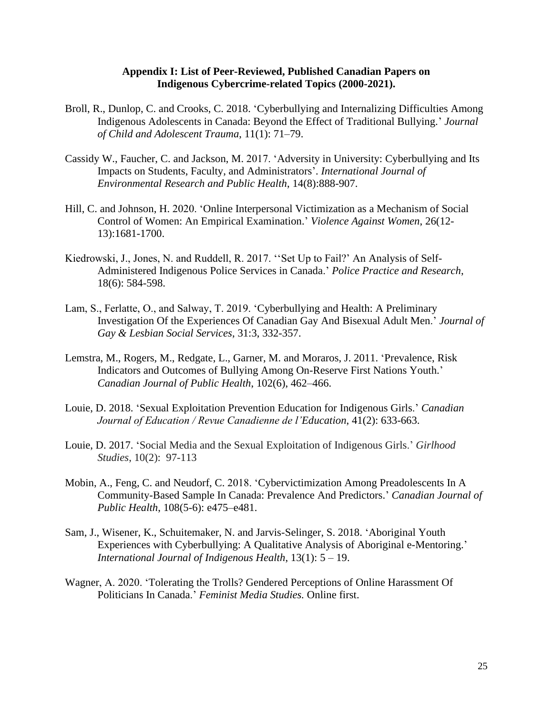## **Appendix I: List of Peer-Reviewed, Published Canadian Papers on Indigenous Cybercrime-related Topics (2000-2021).**

- Broll, R., Dunlop, C. and Crooks, C. 2018. 'Cyberbullying and Internalizing Difficulties Among Indigenous Adolescents in Canada: Beyond the Effect of Traditional Bullying.' *Journal of Child and Adolescent Trauma*, 11(1): 71–79.
- Cassidy W., Faucher, C. and Jackson, M. 2017. 'Adversity in University: Cyberbullying and Its Impacts on Students, Faculty, and Administrators'. *International Journal of Environmental Research and Public Health*, 14(8):888-907.
- Hill, C. and Johnson, H. 2020. 'Online Interpersonal Victimization as a Mechanism of Social Control of Women: An Empirical Examination.' *Violence Against Women*, 26(12- 13):1681-1700.
- Kiedrowski, J., Jones, N. and Ruddell, R. 2017. ''Set Up to Fail?' An Analysis of Self-Administered Indigenous Police Services in Canada.' *Police Practice and Research*, 18(6): 584-598.
- Lam, S., Ferlatte, O., and Salway, T. 2019. 'Cyberbullying and Health: A Preliminary Investigation Of the Experiences Of Canadian Gay And Bisexual Adult Men.' *Journal of Gay & Lesbian Social Services*, 31:3, 332-357.
- Lemstra, M., Rogers, M., Redgate, L., Garner, M. and Moraros, J. 2011. 'Prevalence, Risk Indicators and Outcomes of Bullying Among On-Reserve First Nations Youth.' *Canadian Journal of Public Health*, 102(6), 462–466.
- Louie, D. 2018. 'Sexual Exploitation Prevention Education for Indigenous Girls.' *Canadian Journal of Education / Revue Canadienne de l'Education*, 41(2): 633-663.
- Louie, D. 2017. 'Social Media and the Sexual Exploitation of Indigenous Girls.' *Girlhood Studies*, 10(2): 97-113
- Mobin, A., Feng, C. and Neudorf, C. 2018. 'Cybervictimization Among Preadolescents In A Community-Based Sample In Canada: Prevalence And Predictors.' *Canadian Journal of Public Health*, 108(5-6): e475–e481.
- Sam, J., Wisener, K., Schuitemaker, N. and Jarvis-Selinger, S. 2018. 'Aboriginal Youth Experiences with Cyberbullying: A Qualitative Analysis of Aboriginal e-Mentoring.' *International Journal of Indigenous Health*, 13(1): 5 – 19.
- Wagner, A. 2020. 'Tolerating the Trolls? Gendered Perceptions of Online Harassment Of Politicians In Canada.' *Feminist Media Studies.* Online first.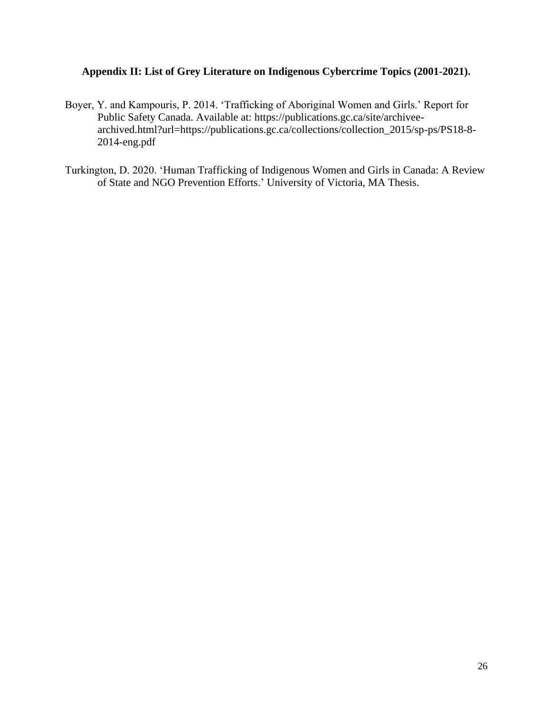## **Appendix II: List of Grey Literature on Indigenous Cybercrime Topics (2001-2021).**

- Boyer, Y. and Kampouris, P. 2014. 'Trafficking of Aboriginal Women and Girls.' Report for Public Safety Canada. Available at: https://publications.gc.ca/site/archiveearchived.html?url=https://publications.gc.ca/collections/collection\_2015/sp-ps/PS18-8- 2014-eng.pdf
- Turkington, D. 2020. 'Human Trafficking of Indigenous Women and Girls in Canada: A Review of State and NGO Prevention Efforts.' University of Victoria, MA Thesis.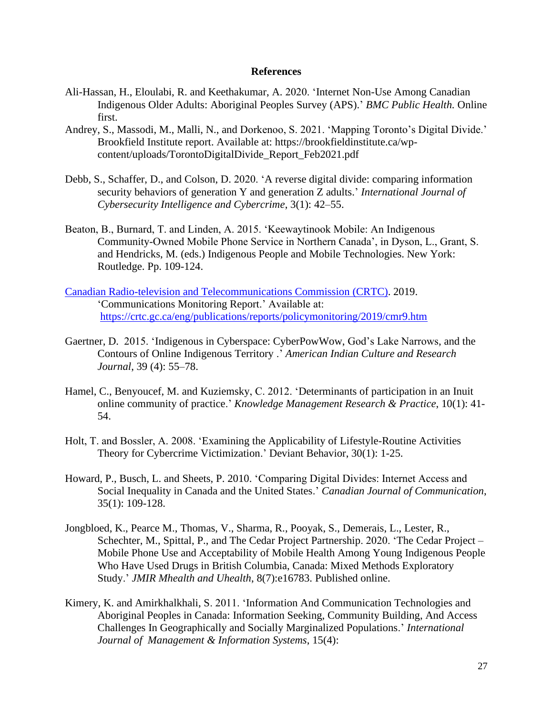#### **References**

- Ali-Hassan, H., Eloulabi, R. and Keethakumar, A. 2020. 'Internet Non-Use Among Canadian Indigenous Older Adults: Aboriginal Peoples Survey (APS).' *BMC Public Health.* Online first.
- Andrey, S., Massodi, M., Malli, N., and Dorkenoo, S. 2021. 'Mapping Toronto's Digital Divide.' Brookfield Institute report. Available at: https://brookfieldinstitute.ca/wpcontent/uploads/TorontoDigitalDivide\_Report\_Feb2021.pdf
- Debb, S., Schaffer, D., and Colson, D. 2020. 'A reverse digital divide: comparing information security behaviors of generation Y and generation Z adults.' *International Journal of Cybersecurity Intelligence and Cybercrime*, 3(1): 42–55.
- Beaton, B., Burnard, T. and Linden, A. 2015. 'Keewaytinook Mobile: An Indigenous Community-Owned Mobile Phone Service in Northern Canada', in Dyson, L., Grant, S. and Hendricks, M. (eds.) Indigenous People and Mobile Technologies. New York: Routledge. Pp. 109-124.
- [Canadian Radio-television and Telecommunications Commission](https://crtc.gc.ca/eng/home-accueil.htm) (CRTC). 2019. 'Communications Monitoring Report.' Available at: <https://crtc.gc.ca/eng/publications/reports/policymonitoring/2019/cmr9.htm>
- Gaertner, D. 2015. 'Indigenous in Cyberspace: CyberPowWow, God's Lake Narrows, and the Contours of Online Indigenous Territory .' *American Indian Culture and Research Journal*, 39 (4): 55–78.
- Hamel, C., Benyoucef, M. and Kuziemsky, C. 2012. 'Determinants of participation in an Inuit online community of practice.' *Knowledge Management Research & Practice*, 10(1): 41- 54.
- Holt, T. and Bossler, A. 2008. 'Examining the Applicability of Lifestyle-Routine Activities Theory for Cybercrime Victimization.' Deviant Behavior, 30(1): 1-25.
- Howard, P., Busch, L. and Sheets, P. 2010. 'Comparing Digital Divides: Internet Access and Social Inequality in Canada and the United States.' *Canadian Journal of Communication*, 35(1): 109-128.
- Jongbloed, K., Pearce M., Thomas, V., Sharma, R., Pooyak, S., Demerais, L., Lester, R., Schechter, M., Spittal, P., and The Cedar Project Partnership. 2020. 'The Cedar Project – Mobile Phone Use and Acceptability of Mobile Health Among Young Indigenous People Who Have Used Drugs in British Columbia, Canada: Mixed Methods Exploratory Study.' *JMIR Mhealth and Uhealth*, 8(7):e16783. Published online.
- Kimery, K. and Amirkhalkhali, S. 2011. 'Information And Communication Technologies and Aboriginal Peoples in Canada: Information Seeking, Community Building, And Access Challenges In Geographically and Socially Marginalized Populations.' *International Journal of Management & Information Systems*, 15(4):